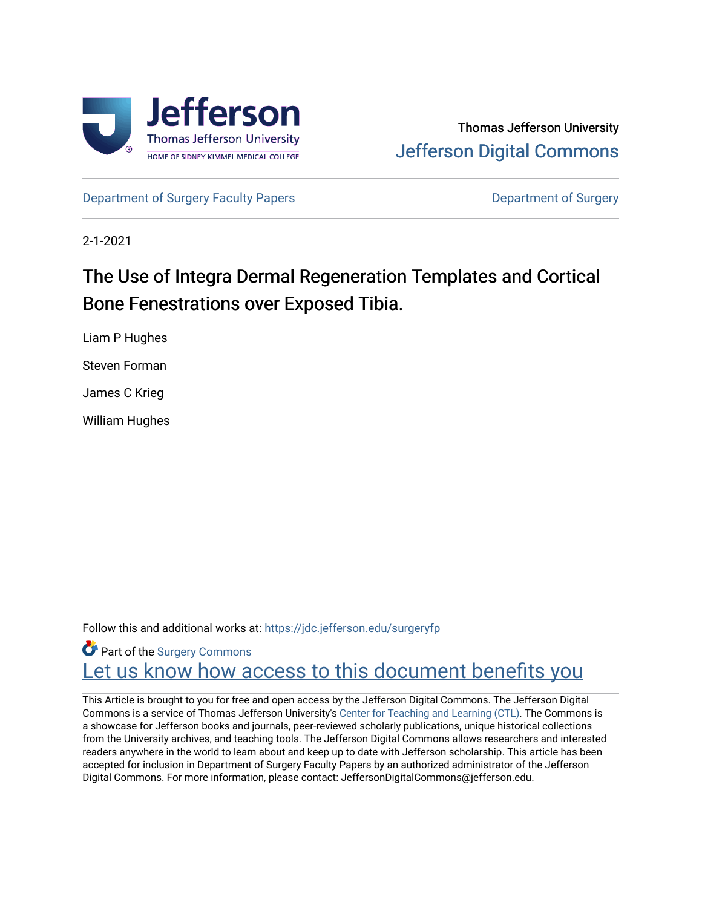

[Department of Surgery Faculty Papers](https://jdc.jefferson.edu/surgeryfp) **Department of Surgery** Department of Surgery

2-1-2021

# The Use of Integra Dermal Regeneration Templates and Cortical Bone Fenestrations over Exposed Tibia.

Liam P Hughes

Steven Forman

James C Krieg

William Hughes

Follow this and additional works at: [https://jdc.jefferson.edu/surgeryfp](https://jdc.jefferson.edu/surgeryfp?utm_source=jdc.jefferson.edu%2Fsurgeryfp%2F209&utm_medium=PDF&utm_campaign=PDFCoverPages)

**Part of the Surgery Commons** Let us know how access to this document benefits you

This Article is brought to you for free and open access by the Jefferson Digital Commons. The Jefferson Digital Commons is a service of Thomas Jefferson University's [Center for Teaching and Learning \(CTL\)](http://www.jefferson.edu/university/teaching-learning.html/). The Commons is a showcase for Jefferson books and journals, peer-reviewed scholarly publications, unique historical collections from the University archives, and teaching tools. The Jefferson Digital Commons allows researchers and interested readers anywhere in the world to learn about and keep up to date with Jefferson scholarship. This article has been accepted for inclusion in Department of Surgery Faculty Papers by an authorized administrator of the Jefferson Digital Commons. For more information, please contact: JeffersonDigitalCommons@jefferson.edu.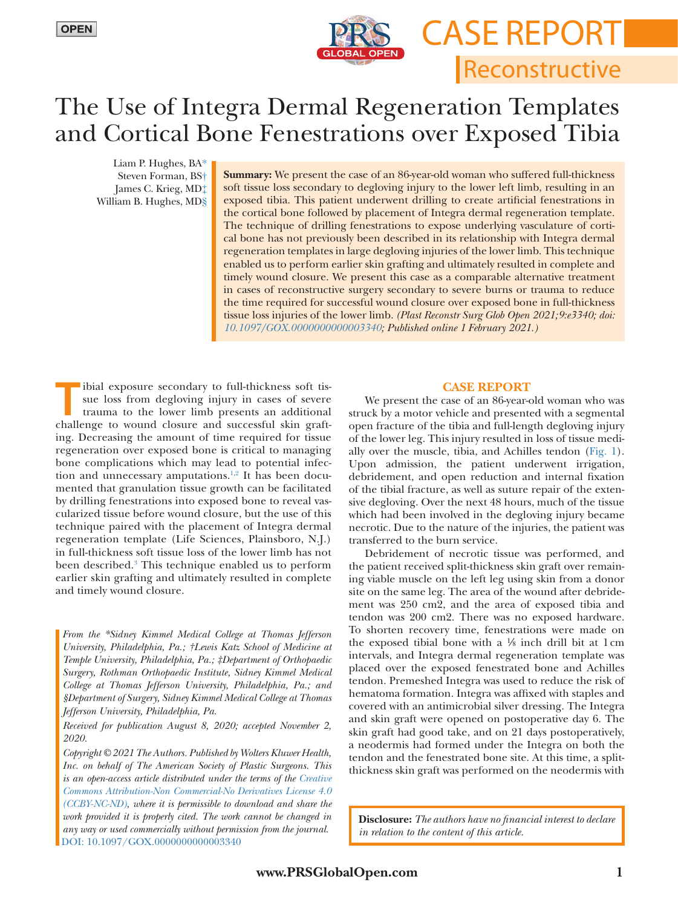

**Reconstructive CASE REPORT** 

# The Use of Integra Dermal Regeneration Templates and Cortical Bone Fenestrations over Exposed Tibia

Liam P. Hughes, B[A\\*](#page-1-0) Steven Forman, B[S†](#page-1-1) James C. Krieg, M[D‡](#page-1-2) William B. Hughes, M[D§](#page-1-3) 

**Summary:** We present the case of an 86-year-old woman who suffered full-thickness soft tissue loss secondary to degloving injury to the lower left limb, resulting in an exposed tibia. This patient underwent drilling to create artificial fenestrations in the cortical bone followed by placement of Integra dermal regeneration template. The technique of drilling fenestrations to expose underlying vasculature of cortical bone has not previously been described in its relationship with Integra dermal regeneration templates in large degloving injuries of the lower limb. This technique enabled us to perform earlier skin grafting and ultimately resulted in complete and timely wound closure. We present this case as a comparable alternative treatment in cases of reconstructive surgery secondary to severe burns or trauma to reduce the time required for successful wound closure over exposed bone in full-thickness tissue loss injuries of the lower limb. *(Plast Reconstr Surg Glob Open 2021;9:e3340; doi: [10.1097/GOX.0000000000003340;](https://doi.org/10.1097/GOX.0000000000003340) Published online 1 February 2021.)*

Tibial exposure secondary to full-thickness soft tis-<br>sue loss from degloving injury in cases of severe<br>trauma to the lower limb presents an additional<br>challenge to yound closure and successful skip graft sue loss from degloving injury in cases of severe challenge to wound closure and successful skin grafting. Decreasing the amount of time required for tissue regeneration over exposed bone is critical to managing bone complications which may lead to potential infec-tion and unnecessary amputations.<sup>[1,](#page-3-0)[2](#page-3-1)</sup> It has been documented that granulation tissue growth can be facilitated by drilling fenestrations into exposed bone to reveal vascularized tissue before wound closure, but the use of this technique paired with the placement of Integra dermal regeneration template (Life Sciences, Plainsboro, N.J.) in full-thickness soft tissue loss of the lower limb has not been described.[3](#page-3-2) This technique enabled us to perform earlier skin grafting and ultimately resulted in complete and timely wound closure.

<span id="page-1-2"></span><span id="page-1-1"></span><span id="page-1-0"></span>*From the \*Sidney Kimmel Medical College at Thomas Jefferson University, Philadelphia, Pa.; †Lewis Katz School of Medicine at Temple University, Philadelphia, Pa.; ‡Department of Orthopaedic Surgery, Rothman Orthopaedic Institute, Sidney Kimmel Medical College at Thomas Jefferson University, Philadelphia, Pa.; and §Department of Surgery, Sidney Kimmel Medical College at Thomas Jefferson University, Philadelphia, Pa.*

<span id="page-1-3"></span>*Received for publication August 8, 2020; accepted November 2, 2020.*

*Copyright © 2021 The Authors. Published by Wolters Kluwer Health, Inc. on behalf of The American Society of Plastic Surgeons. This is an open-access article distributed under the terms of the [Creative](http://creativecommons.org/licenses/by-nc-nd/4.0/)  [Commons Attribution-Non Commercial-No Derivatives License 4.0](http://creativecommons.org/licenses/by-nc-nd/4.0/)  [\(CCBY-NC-ND\)](http://creativecommons.org/licenses/by-nc-nd/4.0/), where it is permissible to download and share the work provided it is properly cited. The work cannot be changed in any way or used commercially without permission from the journal.* DOI: [10.1097/GOX.0000000000003340](https://doi.org/10.1097/GOX.0000000000003340)

### **CASE REPORT**

We present the case of an 86-year-old woman who was struck by a motor vehicle and presented with a segmental open fracture of the tibia and full-length degloving injury of the lower leg. This injury resulted in loss of tissue medially over the muscle, tibia, and Achilles tendon ([Fig. 1](#page-2-0)). Upon admission, the patient underwent irrigation, debridement, and open reduction and internal fixation of the tibial fracture, as well as suture repair of the extensive degloving. Over the next 48 hours, much of the tissue which had been involved in the degloving injury became necrotic. Due to the nature of the injuries, the patient was transferred to the burn service.

Debridement of necrotic tissue was performed, and the patient received split-thickness skin graft over remaining viable muscle on the left leg using skin from a donor site on the same leg. The area of the wound after debridement was 250 cm2, and the area of exposed tibia and tendon was 200 cm2. There was no exposed hardware. To shorten recovery time, fenestrations were made on the exposed tibial bone with a  $\frac{1}{8}$  inch drill bit at 1 cm intervals, and Integra dermal regeneration template was placed over the exposed fenestrated bone and Achilles tendon. Premeshed Integra was used to reduce the risk of hematoma formation. Integra was affixed with staples and covered with an antimicrobial silver dressing. The Integra and skin graft were opened on postoperative day 6. The skin graft had good take, and on 21 days postoperatively, a neodermis had formed under the Integra on both the tendon and the fenestrated bone site. At this time, a splitthickness skin graft was performed on the neodermis with

**Disclosure:** *The authors have no financial interest to declare in relation to the content of this article.*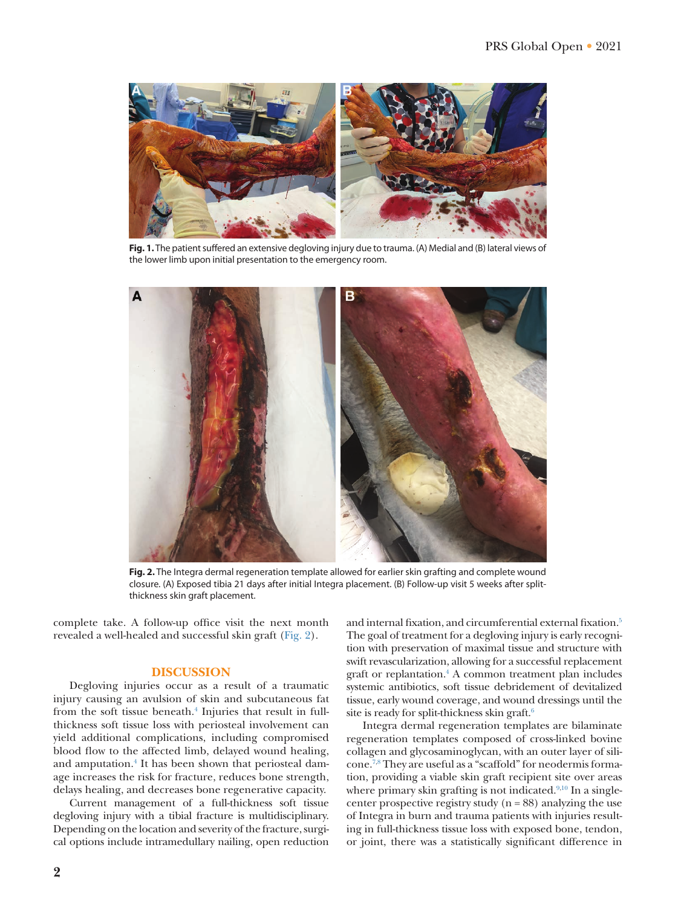

**Fig. 1.**The patient suffered an extensive degloving injury due to trauma. (A) Medial and (B) lateral views of the lower limb upon initial presentation to the emergency room.

<span id="page-2-0"></span>

**Fig. 2.** The Integra dermal regeneration template allowed for earlier skin grafting and complete wound closure. (A) Exposed tibia 21 days after initial Integra placement. (B) Follow-up visit 5 weeks after splitthickness skin graft placement.

complete take. A follow-up office visit the next month revealed a well-healed and successful skin graft [\(Fig. 2](#page-2-1)).

## **DISCUSSION**

Degloving injuries occur as a result of a traumatic injury causing an avulsion of skin and subcutaneous fat from the soft tissue beneath.<sup>[4](#page-3-3)</sup> Injuries that result in fullthickness soft tissue loss with periosteal involvement can yield additional complications, including compromised blood flow to the affected limb, delayed wound healing, and amputation.<sup>4</sup> It has been shown that periosteal damage increases the risk for fracture, reduces bone strength, delays healing, and decreases bone regenerative capacity.

Current management of a full-thickness soft tissue degloving injury with a tibial fracture is multidisciplinary. Depending on the location and severity of the fracture, surgical options include intramedullary nailing, open reduction <span id="page-2-1"></span>and internal fixation, and circumferential external fixation.<sup>5</sup> The goal of treatment for a degloving injury is early recognition with preservation of maximal tissue and structure with swift revascularization, allowing for a successful replacement graft or replantation.[4](#page-3-3) A common treatment plan includes systemic antibiotics, soft tissue debridement of devitalized tissue, early wound coverage, and wound dressings until the site is ready for split-thickness skin graft. $6$ 

Integra dermal regeneration templates are bilaminate regeneration templates composed of cross-linked bovine collagen and glycosaminoglycan, with an outer layer of silicone[.7](#page-3-6),[8](#page-3-7) They are useful as a "scaffold" for neodermis formation, providing a viable skin graft recipient site over areas where primary skin grafting is not indicated.<sup>9[,10](#page-3-9)</sup> In a singlecenter prospective registry study  $(n = 88)$  analyzing the use of Integra in burn and trauma patients with injuries resulting in full-thickness tissue loss with exposed bone, tendon, or joint, there was a statistically significant difference in